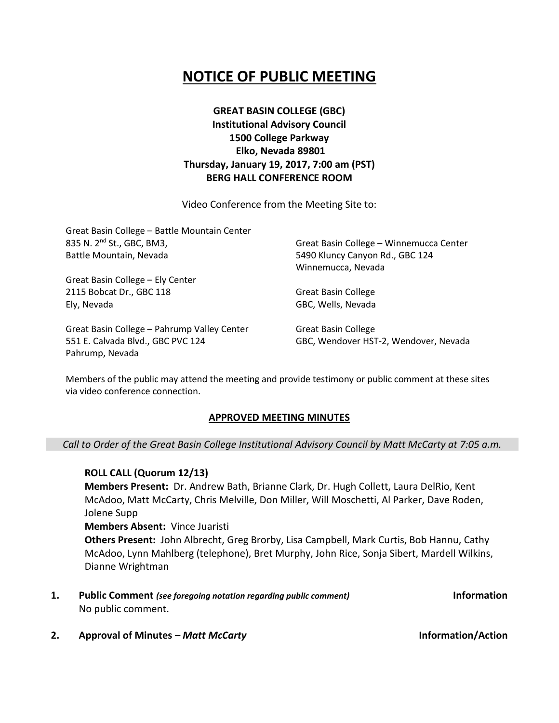# **NOTICE OF PUBLIC MEETING**

**GREAT BASIN COLLEGE (GBC) Institutional Advisory Council 1500 College Parkway Elko, Nevada 89801 Thursday, January 19, 2017, 7:00 am (PST) BERG HALL CONFERENCE ROOM**

Video Conference from the Meeting Site to:

| Great Basin College - Battle Mountain Center |                                         |
|----------------------------------------------|-----------------------------------------|
| 835 N. 2 <sup>nd</sup> St., GBC, BM3,        | Great Basin College - Winnemucca Center |
| Battle Mountain, Nevada                      | 5490 Kluncy Canyon Rd., GBC 124         |
|                                              | Winnemucca, Nevada                      |
| Great Basin College - Ely Center             |                                         |
| 2115 Bobcat Dr., GBC 118                     | <b>Great Basin College</b>              |
| Ely, Nevada                                  | GBC, Wells, Nevada                      |
| Great Basin College - Pahrump Valley Center  | Great Basin College                     |
| 551 E. Calvada Blvd., GBC PVC 124            | GBC, Wendover HST-2, Wendover, Nevada   |

Members of the public may attend the meeting and provide testimony or public comment at these sites via video conference connection.

### **APPROVED MEETING MINUTES**

### *Call to Order of the Great Basin College Institutional Advisory Council by Matt McCarty at 7:05 a.m.*

**ROLL CALL (Quorum 12/13) Members Present:** Dr. Andrew Bath, Brianne Clark, Dr. Hugh Collett, Laura DelRio, Kent McAdoo, Matt McCarty, Chris Melville, Don Miller, Will Moschetti, Al Parker, Dave Roden, Jolene Supp **Members Absent:** Vince Juaristi **Others Present:** John Albrecht, Greg Brorby, Lisa Campbell, Mark Curtis, Bob Hannu, Cathy

McAdoo, Lynn Mahlberg (telephone), Bret Murphy, John Rice, Sonja Sibert, Mardell Wilkins, Dianne Wrightman

**1. Public Comment** *(see foregoing notation regarding public comment)* **Information** No public comment.

**2. Approval of Minutes –** *Matt McCarty* **Information/Action**

Pahrump, Nevada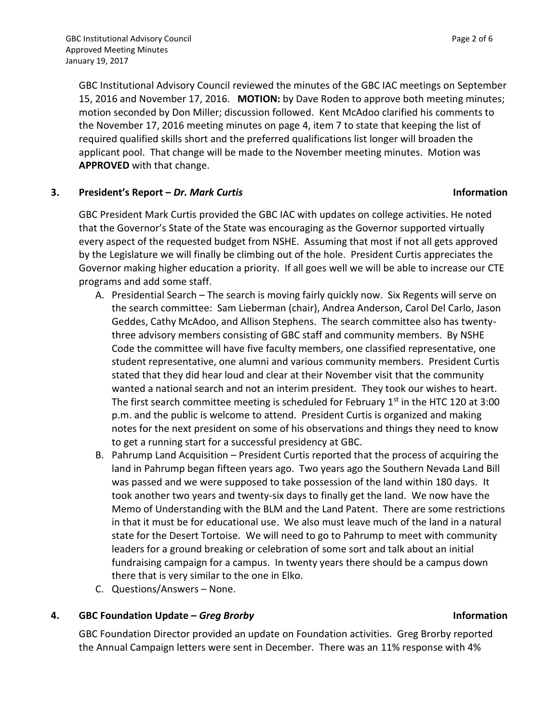GBC Institutional Advisory Council reviewed the minutes of the GBC IAC meetings on September 15, 2016 and November 17, 2016. **MOTION:** by Dave Roden to approve both meeting minutes; motion seconded by Don Miller; discussion followed. Kent McAdoo clarified his comments to the November 17, 2016 meeting minutes on page 4, item 7 to state that keeping the list of required qualified skills short and the preferred qualifications list longer will broaden the applicant pool. That change will be made to the November meeting minutes. Motion was **APPROVED** with that change.

# **3. President's Report –** *Dr. Mark Curtis* **Information**

GBC President Mark Curtis provided the GBC IAC with updates on college activities. He noted that the Governor's State of the State was encouraging as the Governor supported virtually every aspect of the requested budget from NSHE. Assuming that most if not all gets approved by the Legislature we will finally be climbing out of the hole. President Curtis appreciates the Governor making higher education a priority. If all goes well we will be able to increase our CTE programs and add some staff.

- A. Presidential Search The search is moving fairly quickly now. Six Regents will serve on the search committee: Sam Lieberman (chair), Andrea Anderson, Carol Del Carlo, Jason Geddes, Cathy McAdoo, and Allison Stephens. The search committee also has twentythree advisory members consisting of GBC staff and community members. By NSHE Code the committee will have five faculty members, one classified representative, one student representative, one alumni and various community members. President Curtis stated that they did hear loud and clear at their November visit that the community wanted a national search and not an interim president. They took our wishes to heart. The first search committee meeting is scheduled for February  $1<sup>st</sup>$  in the HTC 120 at 3:00 p.m. and the public is welcome to attend. President Curtis is organized and making notes for the next president on some of his observations and things they need to know to get a running start for a successful presidency at GBC.
- B. Pahrump Land Acquisition President Curtis reported that the process of acquiring the land in Pahrump began fifteen years ago. Two years ago the Southern Nevada Land Bill was passed and we were supposed to take possession of the land within 180 days. It took another two years and twenty-six days to finally get the land. We now have the Memo of Understanding with the BLM and the Land Patent. There are some restrictions in that it must be for educational use. We also must leave much of the land in a natural state for the Desert Tortoise. We will need to go to Pahrump to meet with community leaders for a ground breaking or celebration of some sort and talk about an initial fundraising campaign for a campus. In twenty years there should be a campus down there that is very similar to the one in Elko.
- C. Questions/Answers None.

# **4. GBC Foundation Update –** *Greg Brorby* **Information**

GBC Foundation Director provided an update on Foundation activities. Greg Brorby reported the Annual Campaign letters were sent in December. There was an 11% response with 4%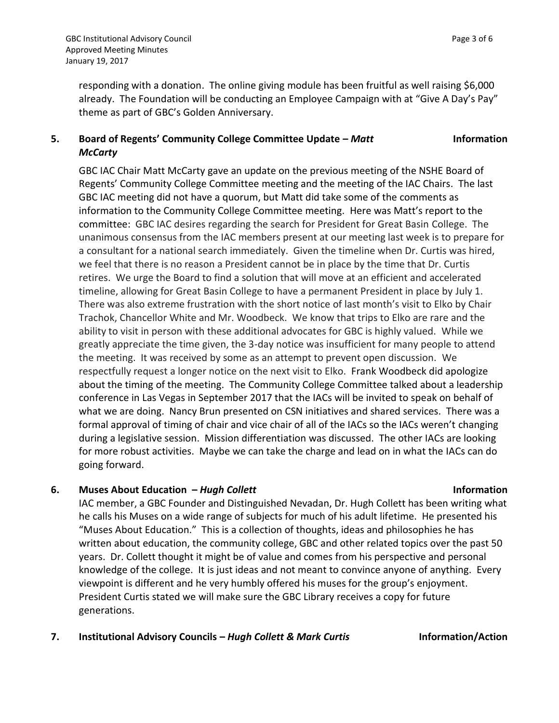**Information** 

responding with a donation. The online giving module has been fruitful as well raising \$6,000 already. The Foundation will be conducting an Employee Campaign with at "Give A Day's Pay" theme as part of GBC's Golden Anniversary.

# **5. Board of Regents' Community College Committee Update –** *Matt McCarty*

GBC IAC Chair Matt McCarty gave an update on the previous meeting of the NSHE Board of Regents' Community College Committee meeting and the meeting of the IAC Chairs. The last GBC IAC meeting did not have a quorum, but Matt did take some of the comments as information to the Community College Committee meeting. Here was Matt's report to the committee: GBC IAC desires regarding the search for President for Great Basin College. The unanimous consensus from the IAC members present at our meeting last week is to prepare for a consultant for a national search immediately. Given the timeline when Dr. Curtis was hired, we feel that there is no reason a President cannot be in place by the time that Dr. Curtis retires. We urge the Board to find a solution that will move at an efficient and accelerated timeline, allowing for Great Basin College to have a permanent President in place by July 1. There was also extreme frustration with the short notice of last month's visit to Elko by Chair Trachok, Chancellor White and Mr. Woodbeck. We know that trips to Elko are rare and the ability to visit in person with these additional advocates for GBC is highly valued. While we greatly appreciate the time given, the 3-day notice was insufficient for many people to attend the meeting. It was received by some as an attempt to prevent open discussion. We respectfully request a longer notice on the next visit to Elko. Frank Woodbeck did apologize about the timing of the meeting. The Community College Committee talked about a leadership conference in Las Vegas in September 2017 that the IACs will be invited to speak on behalf of what we are doing. Nancy Brun presented on CSN initiatives and shared services. There was a formal approval of timing of chair and vice chair of all of the IACs so the IACs weren't changing during a legislative session. Mission differentiation was discussed. The other IACs are looking for more robust activities. Maybe we can take the charge and lead on in what the IACs can do going forward.

# **6. Muses About Education –** *Hugh Collett* **Information**

IAC member, a GBC Founder and Distinguished Nevadan, Dr. Hugh Collett has been writing what he calls his Muses on a wide range of subjects for much of his adult lifetime. He presented his "Muses About Education." This is a collection of thoughts, ideas and philosophies he has written about education, the community college, GBC and other related topics over the past 50 years. Dr. Collett thought it might be of value and comes from his perspective and personal knowledge of the college. It is just ideas and not meant to convince anyone of anything. Every viewpoint is different and he very humbly offered his muses for the group's enjoyment. President Curtis stated we will make sure the GBC Library receives a copy for future generations.

### **7. Institutional Advisory Councils –** *Hugh Collett & Mark Curtis* **Information/Action**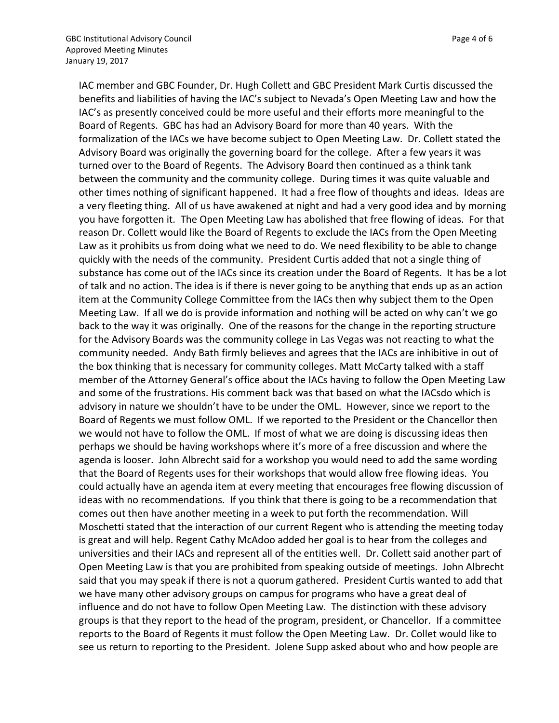IAC member and GBC Founder, Dr. Hugh Collett and GBC President Mark Curtis discussed the benefits and liabilities of having the IAC's subject to Nevada's Open Meeting Law and how the IAC's as presently conceived could be more useful and their efforts more meaningful to the Board of Regents. GBC has had an Advisory Board for more than 40 years. With the formalization of the IACs we have become subject to Open Meeting Law. Dr. Collett stated the Advisory Board was originally the governing board for the college. After a few years it was turned over to the Board of Regents. The Advisory Board then continued as a think tank between the community and the community college. During times it was quite valuable and other times nothing of significant happened. It had a free flow of thoughts and ideas. Ideas are a very fleeting thing. All of us have awakened at night and had a very good idea and by morning you have forgotten it. The Open Meeting Law has abolished that free flowing of ideas. For that reason Dr. Collett would like the Board of Regents to exclude the IACs from the Open Meeting Law as it prohibits us from doing what we need to do. We need flexibility to be able to change quickly with the needs of the community. President Curtis added that not a single thing of substance has come out of the IACs since its creation under the Board of Regents. It has be a lot of talk and no action. The idea is if there is never going to be anything that ends up as an action item at the Community College Committee from the IACs then why subject them to the Open Meeting Law. If all we do is provide information and nothing will be acted on why can't we go back to the way it was originally. One of the reasons for the change in the reporting structure for the Advisory Boards was the community college in Las Vegas was not reacting to what the community needed. Andy Bath firmly believes and agrees that the IACs are inhibitive in out of the box thinking that is necessary for community colleges. Matt McCarty talked with a staff member of the Attorney General's office about the IACs having to follow the Open Meeting Law and some of the frustrations. His comment back was that based on what the IACsdo which is advisory in nature we shouldn't have to be under the OML. However, since we report to the Board of Regents we must follow OML. If we reported to the President or the Chancellor then we would not have to follow the OML. If most of what we are doing is discussing ideas then perhaps we should be having workshops where it's more of a free discussion and where the agenda is looser. John Albrecht said for a workshop you would need to add the same wording that the Board of Regents uses for their workshops that would allow free flowing ideas. You could actually have an agenda item at every meeting that encourages free flowing discussion of ideas with no recommendations. If you think that there is going to be a recommendation that comes out then have another meeting in a week to put forth the recommendation. Will Moschetti stated that the interaction of our current Regent who is attending the meeting today is great and will help. Regent Cathy McAdoo added her goal is to hear from the colleges and universities and their IACs and represent all of the entities well. Dr. Collett said another part of Open Meeting Law is that you are prohibited from speaking outside of meetings. John Albrecht said that you may speak if there is not a quorum gathered. President Curtis wanted to add that we have many other advisory groups on campus for programs who have a great deal of influence and do not have to follow Open Meeting Law. The distinction with these advisory groups is that they report to the head of the program, president, or Chancellor. If a committee reports to the Board of Regents it must follow the Open Meeting Law. Dr. Collet would like to see us return to reporting to the President. Jolene Supp asked about who and how people are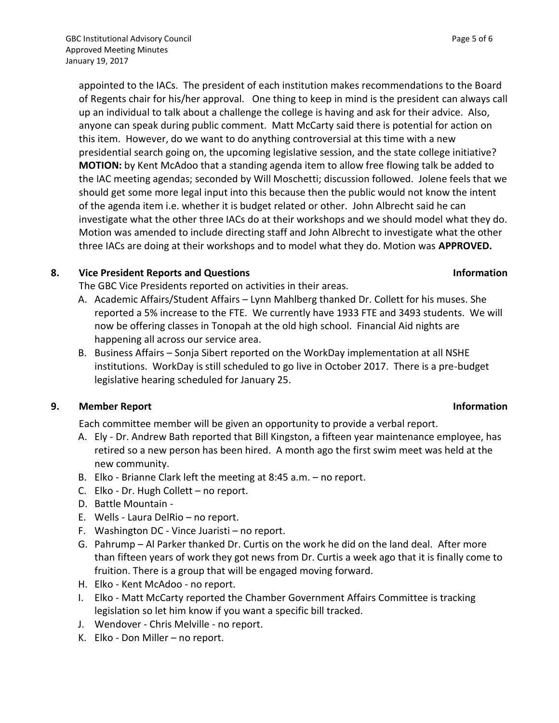appointed to the IACs. The president of each institution makes recommendations to the Board of Regents chair for his/her approval. One thing to keep in mind is the president can always call up an individual to talk about a challenge the college is having and ask for their advice. Also, anyone can speak during public comment. Matt McCarty said there is potential for action on this item. However, do we want to do anything controversial at this time with a new presidential search going on, the upcoming legislative session, and the state college initiative? **MOTION:** by Kent McAdoo that a standing agenda item to allow free flowing talk be added to the IAC meeting agendas; seconded by Will Moschetti; discussion followed. Jolene feels that we should get some more legal input into this because then the public would not know the intent of the agenda item i.e. whether it is budget related or other. John Albrecht said he can investigate what the other three IACs do at their workshops and we should model what they do. Motion was amended to include directing staff and John Albrecht to investigate what the other three IACs are doing at their workshops and to model what they do. Motion was **APPROVED.**

# **8. Vice President Reports and Questions Information**

The GBC Vice Presidents reported on activities in their areas.

- A. Academic Affairs/Student Affairs Lynn Mahlberg thanked Dr. Collett for his muses. She reported a 5% increase to the FTE. We currently have 1933 FTE and 3493 students. We will now be offering classes in Tonopah at the old high school. Financial Aid nights are happening all across our service area.
- B. Business Affairs Sonja Sibert reported on the WorkDay implementation at all NSHE institutions. WorkDay is still scheduled to go live in October 2017. There is a pre-budget legislative hearing scheduled for January 25.

# **9. Member Report Information**

Each committee member will be given an opportunity to provide a verbal report.

- A. Ely Dr. Andrew Bath reported that Bill Kingston, a fifteen year maintenance employee, has retired so a new person has been hired. A month ago the first swim meet was held at the new community.
- B. Elko Brianne Clark left the meeting at 8:45 a.m. no report.
- C. Elko Dr. Hugh Collett no report.
- D. Battle Mountain -
- E. Wells Laura DelRio no report.
- F. Washington DC Vince Juaristi no report.
- G. Pahrump Al Parker thanked Dr. Curtis on the work he did on the land deal. After more than fifteen years of work they got news from Dr. Curtis a week ago that it is finally come to fruition. There is a group that will be engaged moving forward.
- H. Elko Kent McAdoo no report.
- I. Elko Matt McCarty reported the Chamber Government Affairs Committee is tracking legislation so let him know if you want a specific bill tracked.
- J. Wendover Chris Melville no report.
- K. Elko Don Miller no report.